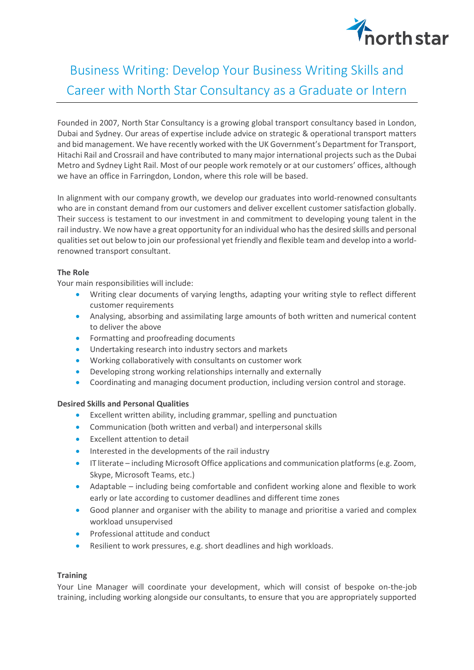

## Business Writing: Develop Your Business Writing Skills and Career with North Star Consultancy as a Graduate or Intern

Founded in 2007, North Star Consultancy is a growing global transport consultancy based in London, Dubai and Sydney. Our areas of expertise include advice on strategic & operational transport matters and bid management. We have recently worked with the UK Government's Department for Transport, Hitachi Rail and Crossrail and have contributed to many major international projects such as the Dubai Metro and Sydney Light Rail. Most of our people work remotely or at our customers' offices, although we have an office in Farringdon, London, where this role will be based.

In alignment with our company growth, we develop our graduates into world-renowned consultants who are in constant demand from our customers and deliver excellent customer satisfaction globally. Their success is testament to our investment in and commitment to developing young talent in the rail industry. We now have a great opportunity for an individual who has the desired skills and personal qualities set out below to join our professional yet friendly and flexible team and develop into a worldrenowned transport consultant.

## **The Role**

Your main responsibilities will include:

- Writing clear documents of varying lengths, adapting your writing style to reflect different customer requirements
- Analysing, absorbing and assimilating large amounts of both written and numerical content to deliver the above
- Formatting and proofreading documents
- Undertaking research into industry sectors and markets
- Working collaboratively with consultants on customer work
- Developing strong working relationships internally and externally
- Coordinating and managing document production, including version control and storage.

## **Desired Skills and Personal Qualities**

- Excellent written ability, including grammar, spelling and punctuation
- Communication (both written and verbal) and interpersonal skills
- Excellent attention to detail
- Interested in the developments of the rail industry
- IT literate including Microsoft Office applications and communication platforms (e.g. Zoom, Skype, Microsoft Teams, etc.)
- Adaptable including being comfortable and confident working alone and flexible to work early or late according to customer deadlines and different time zones
- Good planner and organiser with the ability to manage and prioritise a varied and complex workload unsupervised
- Professional attitude and conduct
- Resilient to work pressures, e.g. short deadlines and high workloads.

## **Training**

Your Line Manager will coordinate your development, which will consist of bespoke on-the-job training, including working alongside our consultants, to ensure that you are appropriately supported